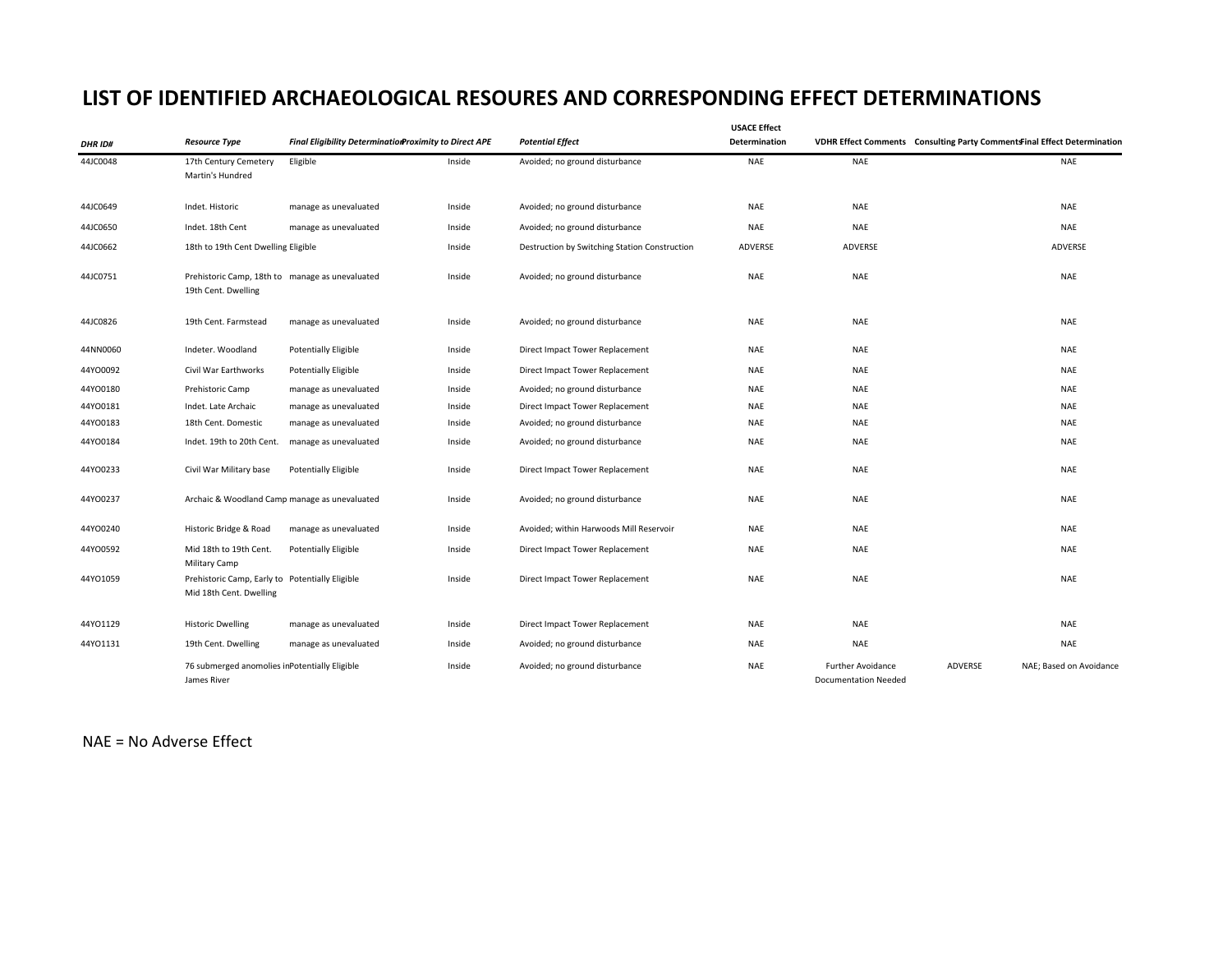## **LIST OF IDENTIFIED ARCHAEOLOGICAL RESOURES AND CORRESPONDING EFFECT DETERMINATIONS**

| <b>DHR ID#</b> | <b>Resource Type</b>                                                       | Final Eligibility DeterminationProximity to Direct APE |        | <b>Potential Effect</b>                       | <b>USACE Effect</b><br>Determination |                                                         | VDHR Effect Comments Consulting Party Comments Final Effect Determination |
|----------------|----------------------------------------------------------------------------|--------------------------------------------------------|--------|-----------------------------------------------|--------------------------------------|---------------------------------------------------------|---------------------------------------------------------------------------|
| 44JC0048       | 17th Century Cemetery<br>Martin's Hundred                                  | Eligible                                               | Inside | Avoided; no ground disturbance                | NAE                                  | <b>NAE</b>                                              | <b>NAE</b>                                                                |
| 44JC0649       | Indet. Historic                                                            | manage as unevaluated                                  | Inside | Avoided; no ground disturbance                | NAE                                  | <b>NAE</b>                                              | <b>NAE</b>                                                                |
| 44JC0650       | Indet. 18th Cent                                                           | manage as unevaluated                                  | Inside | Avoided; no ground disturbance                | <b>NAE</b>                           | <b>NAE</b>                                              | <b>NAE</b>                                                                |
| 44JC0662       | 18th to 19th Cent Dwelling Eligible                                        |                                                        | Inside | Destruction by Switching Station Construction | ADVERSE                              | ADVERSE                                                 | ADVERSE                                                                   |
| 44JC0751       | Prehistoric Camp, 18th to manage as unevaluated<br>19th Cent. Dwelling     |                                                        | Inside | Avoided; no ground disturbance                | NAE                                  | <b>NAE</b>                                              | NAE                                                                       |
| 44JC0826       | 19th Cent. Farmstead                                                       | manage as unevaluated                                  | Inside | Avoided; no ground disturbance                | NAE                                  | NAE                                                     | NAE                                                                       |
| 44NN0060       | Indeter. Woodland                                                          | <b>Potentially Eligible</b>                            | Inside | Direct Impact Tower Replacement               | NAE                                  | <b>NAE</b>                                              | NAE                                                                       |
| 44Y00092       | Civil War Earthworks                                                       | <b>Potentially Eligible</b>                            | Inside | Direct Impact Tower Replacement               | <b>NAE</b>                           | <b>NAE</b>                                              | NAE                                                                       |
| 44Y00180       | Prehistoric Camp                                                           | manage as unevaluated                                  | Inside | Avoided; no ground disturbance                | NAE                                  | <b>NAE</b>                                              | <b>NAE</b>                                                                |
| 44Y00181       | Indet. Late Archaic                                                        | manage as unevaluated                                  | Inside | Direct Impact Tower Replacement               | NAE                                  | <b>NAE</b>                                              | <b>NAE</b>                                                                |
| 44Y00183       | 18th Cent. Domestic                                                        | manage as unevaluated                                  | Inside | Avoided; no ground disturbance                | NAE                                  | <b>NAE</b>                                              | <b>NAE</b>                                                                |
| 44Y00184       | Indet. 19th to 20th Cent.                                                  | manage as unevaluated                                  | Inside | Avoided; no ground disturbance                | NAE                                  | <b>NAE</b>                                              | <b>NAE</b>                                                                |
| 44Y00233       | Civil War Military base                                                    | <b>Potentially Eligible</b>                            | Inside | Direct Impact Tower Replacement               | <b>NAE</b>                           | <b>NAE</b>                                              | <b>NAE</b>                                                                |
| 44Y00237       | Archaic & Woodland Camp manage as unevaluated                              |                                                        | Inside | Avoided; no ground disturbance                | NAE                                  | <b>NAE</b>                                              | <b>NAE</b>                                                                |
| 44YO0240       | Historic Bridge & Road                                                     | manage as unevaluated                                  | Inside | Avoided; within Harwoods Mill Reservoir       | <b>NAE</b>                           | <b>NAE</b>                                              | <b>NAE</b>                                                                |
| 44Y00592       | Mid 18th to 19th Cent.<br>Military Camp                                    | <b>Potentially Eligible</b>                            | Inside | Direct Impact Tower Replacement               | <b>NAE</b>                           | <b>NAE</b>                                              | NAE                                                                       |
| 44YO1059       | Prehistoric Camp, Early to Potentially Eligible<br>Mid 18th Cent. Dwelling |                                                        | Inside | Direct Impact Tower Replacement               | <b>NAE</b>                           | <b>NAE</b>                                              | NAE                                                                       |
| 44Y01129       | <b>Historic Dwelling</b>                                                   | manage as unevaluated                                  | Inside | Direct Impact Tower Replacement               | NAE                                  | <b>NAE</b>                                              | NAE                                                                       |
| 44Y01131       | 19th Cent. Dwelling                                                        | manage as unevaluated                                  | Inside | Avoided; no ground disturbance                | <b>NAE</b>                           | <b>NAE</b>                                              | <b>NAE</b>                                                                |
|                | 76 submerged anomolies inPotentially Eligible<br>James River               |                                                        | Inside | Avoided; no ground disturbance                | <b>NAE</b>                           | <b>Further Avoidance</b><br><b>Documentation Needed</b> | ADVERSE<br>NAE; Based on Avoidance                                        |

NAE <sup>=</sup> No Adverse Effect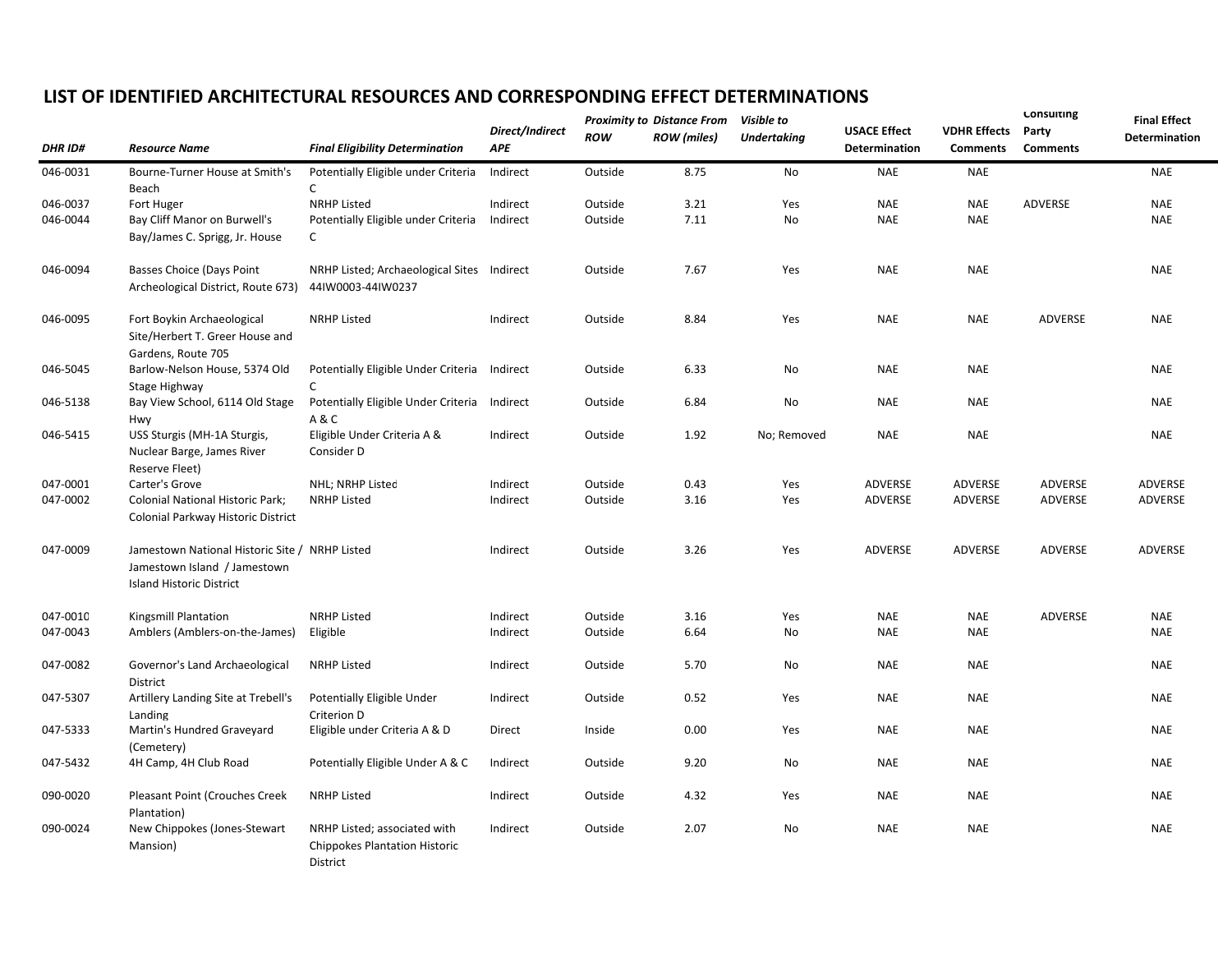## **LIST OF IDENTIFIED ARCHITECTURAL RESOURCES AND CORRESPONDING EFFECT DETERMINATIONS**

|                | <b>Resource Name</b>                                  | <b>Final Eligibility Determination</b>                                                  | Direct/Indirect<br><b>APE</b> | <b>Proximity to Distance From</b> |                    | Visible to  |                                      |                                        | Consulting               | <b>Final Effect</b> |
|----------------|-------------------------------------------------------|-----------------------------------------------------------------------------------------|-------------------------------|-----------------------------------|--------------------|-------------|--------------------------------------|----------------------------------------|--------------------------|---------------------|
| <b>DHR ID#</b> |                                                       |                                                                                         |                               | <b>ROW</b>                        | <b>ROW</b> (miles) | Undertaking | <b>USACE Effect</b><br>Determination | <b>VDHR Effects</b><br><b>Comments</b> | Party<br><b>Comments</b> | Determination       |
| 046-0031       | Bourne-Turner House at Smith's                        | Potentially Eligible under Criteria                                                     | Indirect                      | Outside                           | 8.75               | No          | <b>NAE</b>                           | <b>NAE</b>                             |                          | <b>NAE</b>          |
|                | Beach                                                 | C                                                                                       |                               |                                   |                    |             |                                      |                                        |                          |                     |
| 046-0037       | Fort Huger                                            | <b>NRHP Listed</b>                                                                      | Indirect                      | Outside                           | 3.21               | Yes         | <b>NAE</b>                           | <b>NAE</b>                             | ADVERSE                  | <b>NAE</b>          |
| 046-0044       | Bay Cliff Manor on Burwell's                          | Potentially Eligible under Criteria                                                     | Indirect                      | Outside                           | 7.11               | No          | <b>NAE</b>                           | <b>NAE</b>                             |                          | <b>NAE</b>          |
|                | Bay/James C. Sprigg, Jr. House                        | c                                                                                       |                               |                                   |                    |             |                                      |                                        |                          |                     |
| 046-0094       | Basses Choice (Days Point                             | NRHP Listed; Archaeological Sites Indirect                                              |                               | Outside                           | 7.67               | Yes         | <b>NAE</b>                           | <b>NAE</b>                             |                          | <b>NAE</b>          |
|                | Archeological District, Route 673)                    | 44IW0003-44IW0237                                                                       |                               |                                   |                    |             |                                      |                                        |                          |                     |
| 046-0095       | Fort Boykin Archaeological                            | <b>NRHP Listed</b>                                                                      | Indirect                      | Outside                           | 8.84               | Yes         | <b>NAE</b>                           | <b>NAE</b>                             | ADVERSE                  | <b>NAE</b>          |
|                | Site/Herbert T. Greer House and<br>Gardens, Route 705 |                                                                                         |                               |                                   |                    |             |                                      |                                        |                          |                     |
| 046-5045       | Barlow-Nelson House, 5374 Old                         | Potentially Eligible Under Criteria                                                     | Indirect                      | Outside                           | 6.33               | No          | <b>NAE</b>                           | <b>NAE</b>                             |                          | <b>NAE</b>          |
|                | Stage Highway                                         | C                                                                                       |                               |                                   |                    |             |                                      |                                        |                          |                     |
| 046-5138       | Bay View School, 6114 Old Stage<br>Hwy                | Potentially Eligible Under Criteria<br>A&C                                              | Indirect                      | Outside                           | 6.84               | No          | <b>NAE</b>                           | <b>NAE</b>                             |                          | <b>NAE</b>          |
| 046-5415       | USS Sturgis (MH-1A Sturgis,                           | Eligible Under Criteria A &                                                             | Indirect                      | Outside                           | 1.92               | No; Removed | <b>NAE</b>                           | <b>NAE</b>                             |                          | <b>NAE</b>          |
|                | Nuclear Barge, James River<br>Reserve Fleet)          | Consider D                                                                              |                               |                                   |                    |             |                                      |                                        |                          |                     |
| 047-0001       | Carter's Grove                                        | NHL; NRHP Listed                                                                        | Indirect                      | Outside                           | 0.43               | Yes         | ADVERSE                              | ADVERSE                                | ADVERSE                  | ADVERSE             |
| 047-0002       | Colonial National Historic Park;                      | <b>NRHP Listed</b>                                                                      | Indirect                      | Outside                           | 3.16               | Yes         | ADVERSE                              | ADVERSE                                | ADVERSE                  | ADVERSE             |
|                | Colonial Parkway Historic District                    |                                                                                         |                               |                                   |                    |             |                                      |                                        |                          |                     |
| 047-0009       | Jamestown National Historic Site / NRHP Listed        |                                                                                         | Indirect                      | Outside                           | 3.26               | Yes         | ADVERSE                              | ADVERSE                                | ADVERSE                  | ADVERSE             |
|                | Jamestown Island / Jamestown                          |                                                                                         |                               |                                   |                    |             |                                      |                                        |                          |                     |
|                | <b>Island Historic District</b>                       |                                                                                         |                               |                                   |                    |             |                                      |                                        |                          |                     |
| 047-0010       | Kingsmill Plantation                                  | <b>NRHP Listed</b>                                                                      | Indirect                      | Outside                           | 3.16               | Yes         | <b>NAE</b>                           | <b>NAE</b>                             | ADVERSE                  | <b>NAE</b>          |
| 047-0043       | Amblers (Amblers-on-the-James)                        | Eligible                                                                                | Indirect                      | Outside                           | 6.64               | No          | <b>NAE</b>                           | <b>NAE</b>                             |                          | <b>NAE</b>          |
| 047-0082       | Governor's Land Archaeological<br>District            | <b>NRHP Listed</b>                                                                      | Indirect                      | Outside                           | 5.70               | No          | <b>NAE</b>                           | <b>NAE</b>                             |                          | <b>NAE</b>          |
| 047-5307       | Artillery Landing Site at Trebell's                   | Potentially Eligible Under                                                              | Indirect                      | Outside                           | 0.52               | Yes         | <b>NAE</b>                           | <b>NAE</b>                             |                          | <b>NAE</b>          |
|                | Landing                                               | Criterion D                                                                             |                               |                                   |                    |             |                                      |                                        |                          |                     |
| 047-5333       | Martin's Hundred Graveyard                            | Eligible under Criteria A & D                                                           | Direct                        | Inside                            | 0.00               | Yes         | <b>NAE</b>                           | <b>NAE</b>                             |                          | <b>NAE</b>          |
|                | (Cemetery)                                            |                                                                                         |                               |                                   |                    |             |                                      |                                        |                          |                     |
| 047-5432       | 4H Camp, 4H Club Road                                 | Potentially Eligible Under A & C                                                        | Indirect                      | Outside                           | 9.20               | No          | <b>NAE</b>                           | <b>NAE</b>                             |                          | <b>NAE</b>          |
| 090-0020       | Pleasant Point (Crouches Creek                        | <b>NRHP Listed</b>                                                                      | Indirect                      | Outside                           | 4.32               | Yes         | <b>NAE</b>                           | <b>NAE</b>                             |                          | <b>NAE</b>          |
|                | Plantation)                                           |                                                                                         |                               |                                   |                    |             |                                      |                                        |                          |                     |
| 090-0024       | New Chippokes (Jones-Stewart<br>Mansion)              | NRHP Listed; associated with<br><b>Chippokes Plantation Historic</b><br><b>District</b> | Indirect                      | Outside                           | 2.07               | No          | <b>NAE</b>                           | <b>NAE</b>                             |                          | <b>NAE</b>          |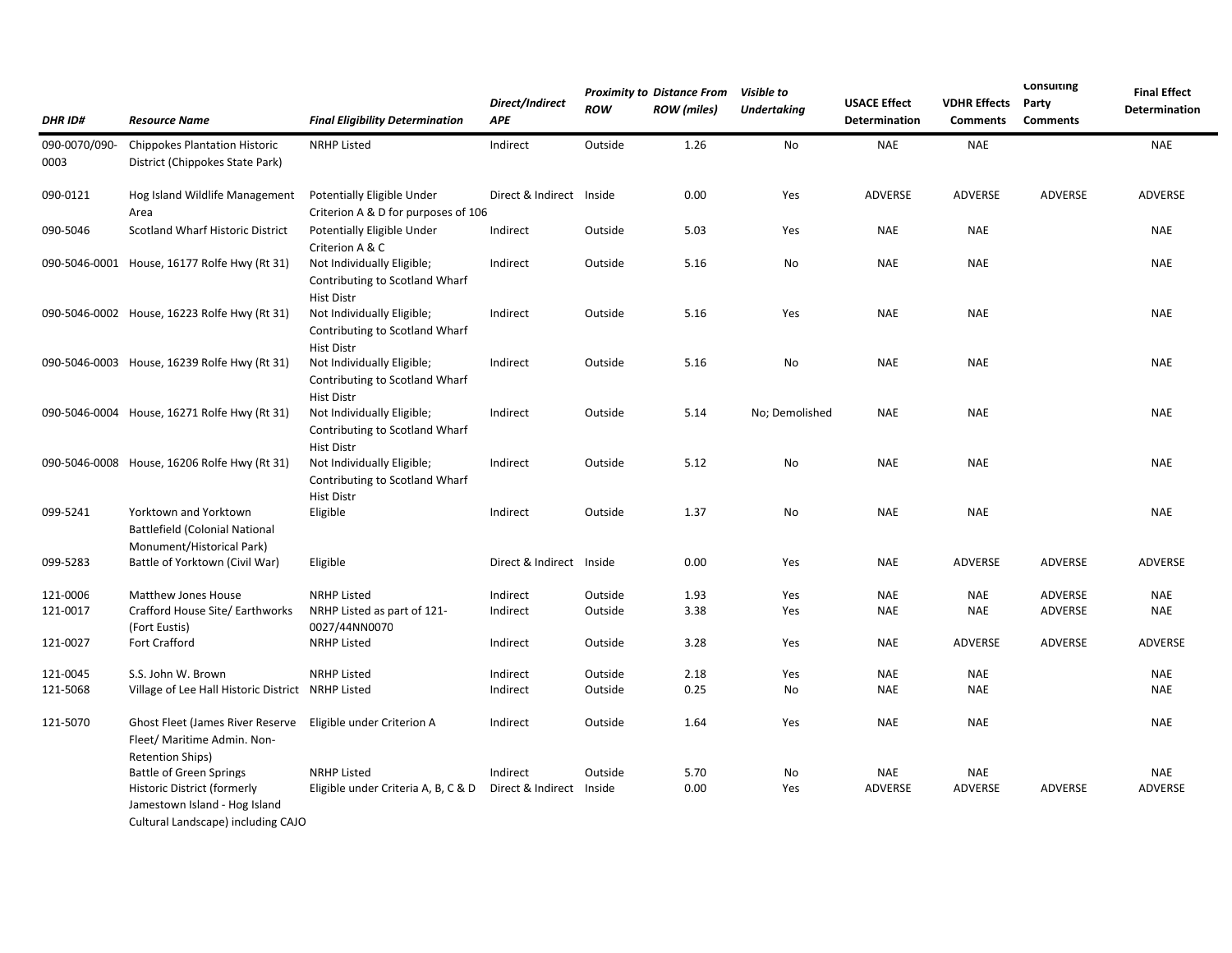| <b>DHR ID#</b>        | <b>Resource Name</b>                                                                        | <b>Final Eligibility Determination</b>                                            | Direct/Indirect<br><b>APE</b> | <b>ROW</b> | <b>Proximity to Distance From</b><br><b>ROW</b> (miles) | Visible to<br>Undertaking | <b>USACE Effect</b><br>Determination | <b>VDHR Effects</b><br><b>Comments</b> | <b>Consulting</b><br>Party<br><b>Comments</b> | <b>Final Effect</b><br>Determination |
|-----------------------|---------------------------------------------------------------------------------------------|-----------------------------------------------------------------------------------|-------------------------------|------------|---------------------------------------------------------|---------------------------|--------------------------------------|----------------------------------------|-----------------------------------------------|--------------------------------------|
| 090-0070/090-<br>0003 | <b>Chippokes Plantation Historic</b><br>District (Chippokes State Park)                     | <b>NRHP Listed</b>                                                                | Indirect                      | Outside    | 1.26                                                    | No                        | <b>NAE</b>                           | <b>NAE</b>                             |                                               | <b>NAE</b>                           |
| 090-0121              | Hog Island Wildlife Management<br>Area                                                      | Potentially Eligible Under<br>Criterion A & D for purposes of 106                 | Direct & Indirect Inside      |            | 0.00                                                    | Yes                       | ADVERSE                              | ADVERSE                                | ADVERSE                                       | ADVERSE                              |
| 090-5046              | <b>Scotland Wharf Historic District</b>                                                     | Potentially Eligible Under<br>Criterion A & C                                     | Indirect                      | Outside    | 5.03                                                    | Yes                       | <b>NAE</b>                           | <b>NAE</b>                             |                                               | <b>NAE</b>                           |
|                       | 090-5046-0001 House, 16177 Rolfe Hwy (Rt 31)                                                | Not Individually Eligible;<br>Contributing to Scotland Wharf<br><b>Hist Distr</b> | Indirect                      | Outside    | 5.16                                                    | No                        | <b>NAE</b>                           | <b>NAE</b>                             |                                               | <b>NAE</b>                           |
|                       | 090-5046-0002 House, 16223 Rolfe Hwy (Rt 31)                                                | Not Individually Eligible;<br>Contributing to Scotland Wharf<br><b>Hist Distr</b> | Indirect                      | Outside    | 5.16                                                    | Yes                       | <b>NAE</b>                           | <b>NAE</b>                             |                                               | <b>NAE</b>                           |
|                       | 090-5046-0003 House, 16239 Rolfe Hwy (Rt 31)                                                | Not Individually Eligible;<br>Contributing to Scotland Wharf<br><b>Hist Distr</b> | Indirect                      | Outside    | 5.16                                                    | No                        | <b>NAE</b>                           | <b>NAE</b>                             |                                               | <b>NAE</b>                           |
|                       | 090-5046-0004 House, 16271 Rolfe Hwy (Rt 31)                                                | Not Individually Eligible;<br>Contributing to Scotland Wharf<br><b>Hist Distr</b> | Indirect                      | Outside    | 5.14                                                    | No; Demolished            | <b>NAE</b>                           | <b>NAE</b>                             |                                               | <b>NAE</b>                           |
|                       | 090-5046-0008 House, 16206 Rolfe Hwy (Rt 31)                                                | Not Individually Eligible;<br>Contributing to Scotland Wharf<br><b>Hist Distr</b> | Indirect                      | Outside    | 5.12                                                    | No                        | <b>NAE</b>                           | <b>NAE</b>                             |                                               | <b>NAE</b>                           |
| 099-5241              | Yorktown and Yorktown<br><b>Battlefield (Colonial National</b><br>Monument/Historical Park) | Eligible                                                                          | Indirect                      | Outside    | 1.37                                                    | No                        | <b>NAE</b>                           | <b>NAE</b>                             |                                               | <b>NAE</b>                           |
| 099-5283              | Battle of Yorktown (Civil War)                                                              | Eligible                                                                          | Direct & Indirect Inside      |            | 0.00                                                    | Yes                       | <b>NAE</b>                           | ADVERSE                                | ADVERSE                                       | ADVERSE                              |
| 121-0006              | Matthew Jones House                                                                         | <b>NRHP Listed</b>                                                                | Indirect                      | Outside    | 1.93                                                    | Yes                       | <b>NAE</b>                           | <b>NAE</b>                             | ADVERSE                                       | <b>NAE</b>                           |
| 121-0017              | Crafford House Site/ Earthworks<br>(Fort Eustis)                                            | NRHP Listed as part of 121-<br>0027/44NN0070                                      | Indirect                      | Outside    | 3.38                                                    | Yes                       | <b>NAE</b>                           | <b>NAE</b>                             | ADVERSE                                       | <b>NAE</b>                           |
| 121-0027              | <b>Fort Crafford</b>                                                                        | <b>NRHP Listed</b>                                                                | Indirect                      | Outside    | 3.28                                                    | Yes                       | <b>NAE</b>                           | <b>ADVERSE</b>                         | ADVERSE                                       | ADVERSE                              |
| 121-0045              | S.S. John W. Brown                                                                          | <b>NRHP Listed</b>                                                                | Indirect                      | Outside    | 2.18                                                    | Yes                       | <b>NAE</b>                           | <b>NAE</b>                             |                                               | <b>NAE</b>                           |
| 121-5068              | Village of Lee Hall Historic District NRHP Listed                                           |                                                                                   | Indirect                      | Outside    | 0.25                                                    | No                        | <b>NAE</b>                           | <b>NAE</b>                             |                                               | <b>NAE</b>                           |
| 121-5070              | Ghost Fleet (James River Reserve<br>Fleet/ Maritime Admin. Non-<br><b>Retention Ships)</b>  | Eligible under Criterion A                                                        | Indirect                      | Outside    | 1.64                                                    | Yes                       | <b>NAE</b>                           | <b>NAE</b>                             |                                               | <b>NAE</b>                           |
|                       | <b>Battle of Green Springs</b>                                                              | <b>NRHP Listed</b>                                                                | Indirect                      | Outside    | 5.70                                                    | No                        | <b>NAE</b>                           | <b>NAE</b>                             |                                               | <b>NAE</b>                           |
|                       | Historic District (formerly                                                                 | Eligible under Criteria A, B, C & D                                               | Direct & Indirect             | Inside     | 0.00                                                    | Yes                       | ADVERSE                              | <b>ADVERSE</b>                         | ADVERSE                                       | ADVERSE                              |
|                       | Jamestown Island - Hog Island                                                               |                                                                                   |                               |            |                                                         |                           |                                      |                                        |                                               |                                      |

Cultural Landscape) including CAJO